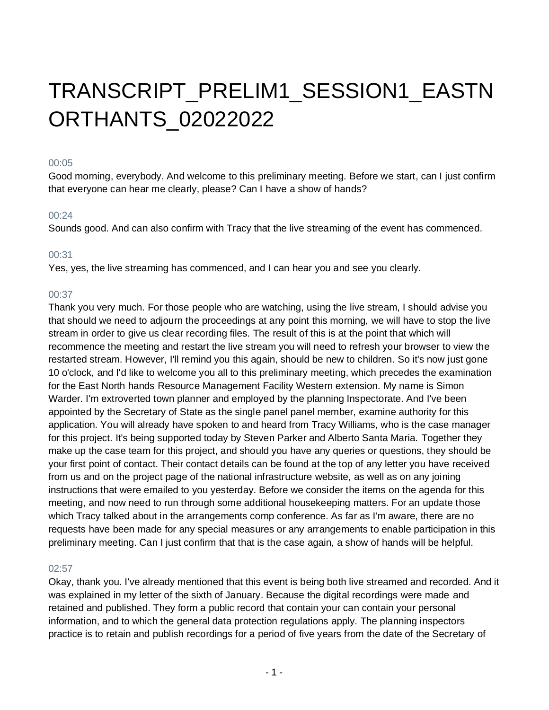# TRANSCRIPT\_PRELIM1\_SESSION1\_EASTN ORTHANTS\_02022022

## 00:05

Good morning, everybody. And welcome to this preliminary meeting. Before we start, can I just confirm that everyone can hear me clearly, please? Can I have a show of hands?

# 00:24

Sounds good. And can also confirm with Tracy that the live streaming of the event has commenced.

# 00:31

Yes, yes, the live streaming has commenced, and I can hear you and see you clearly.

# 00:37

Thank you very much. For those people who are watching, using the live stream, I should advise you that should we need to adjourn the proceedings at any point this morning, we will have to stop the live stream in order to give us clear recording files. The result of this is at the point that which will recommence the meeting and restart the live stream you will need to refresh your browser to view the restarted stream. However, I'll remind you this again, should be new to children. So it's now just gone 10 o'clock, and I'd like to welcome you all to this preliminary meeting, which precedes the examination for the East North hands Resource Management Facility Western extension. My name is Simon Warder. I'm extroverted town planner and employed by the planning Inspectorate. And I've been appointed by the Secretary of State as the single panel panel member, examine authority for this application. You will already have spoken to and heard from Tracy Williams, who is the case manager for this project. It's being supported today by Steven Parker and Alberto Santa Maria. Together they make up the case team for this project, and should you have any queries or questions, they should be your first point of contact. Their contact details can be found at the top of any letter you have received from us and on the project page of the national infrastructure website, as well as on any joining instructions that were emailed to you yesterday. Before we consider the items on the agenda for this meeting, and now need to run through some additional housekeeping matters. For an update those which Tracy talked about in the arrangements comp conference. As far as I'm aware, there are no requests have been made for any special measures or any arrangements to enable participation in this preliminary meeting. Can I just confirm that that is the case again, a show of hands will be helpful.

# 02:57

Okay, thank you. I've already mentioned that this event is being both live streamed and recorded. And it was explained in my letter of the sixth of January. Because the digital recordings were made and retained and published. They form a public record that contain your can contain your personal information, and to which the general data protection regulations apply. The planning inspectors practice is to retain and publish recordings for a period of five years from the date of the Secretary of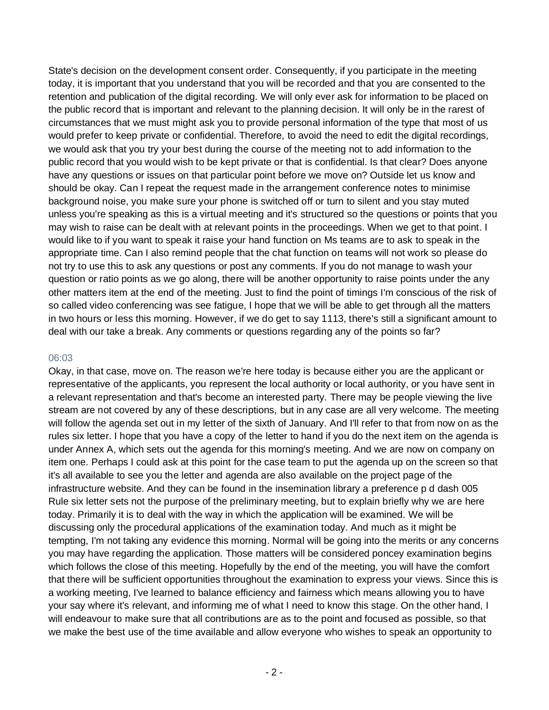State's decision on the development consent order. Consequently, if you participate in the meeting today, it is important that you understand that you will be recorded and that you are consented to the retention and publication of the digital recording. We will only ever ask for information to be placed on the public record that is important and relevant to the planning decision. It will only be in the rarest of circumstances that we must might ask you to provide personal information of the type that most of us would prefer to keep private or confidential. Therefore, to avoid the need to edit the digital recordings, we would ask that you try your best during the course of the meeting not to add information to the public record that you would wish to be kept private or that is confidential. Is that clear? Does anyone have any questions or issues on that particular point before we move on? Outside let us know and should be okay. Can I repeat the request made in the arrangement conference notes to minimise background noise, you make sure your phone is switched off or turn to silent and you stay muted unless you're speaking as this is a virtual meeting and it's structured so the questions or points that you may wish to raise can be dealt with at relevant points in the proceedings. When we get to that point. I would like to if you want to speak it raise your hand function on Ms teams are to ask to speak in the appropriate time. Can I also remind people that the chat function on teams will not work so please do not try to use this to ask any questions or post any comments. If you do not manage to wash your question or ratio points as we go along, there will be another opportunity to raise points under the any other matters item at the end of the meeting. Just to find the point of timings I'm conscious of the risk of so called video conferencing was see fatigue, I hope that we will be able to get through all the matters in two hours or less this morning. However, if we do get to say 1113, there's still a significant amount to deal with our take a break. Any comments or questions regarding any of the points so far?

#### 06:03

Okay, in that case, move on. The reason we're here today is because either you are the applicant or representative of the applicants, you represent the local authority or local authority, or you have sent in a relevant representation and that's become an interested party. There may be people viewing the live stream are not covered by any of these descriptions, but in any case are all very welcome. The meeting will follow the agenda set out in my letter of the sixth of January. And I'll refer to that from now on as the rules six letter. I hope that you have a copy of the letter to hand if you do the next item on the agenda is under Annex A, which sets out the agenda for this morning's meeting. And we are now on company on item one. Perhaps I could ask at this point for the case team to put the agenda up on the screen so that it's all available to see you the letter and agenda are also available on the project page of the infrastructure website. And they can be found in the insemination library a preference p d dash 005 Rule six letter sets not the purpose of the preliminary meeting, but to explain briefly why we are here today. Primarily it is to deal with the way in which the application will be examined. We will be discussing only the procedural applications of the examination today. And much as it might be tempting, I'm not taking any evidence this morning. Normal will be going into the merits or any concerns you may have regarding the application. Those matters will be considered poncey examination begins which follows the close of this meeting. Hopefully by the end of the meeting, you will have the comfort that there will be sufficient opportunities throughout the examination to express your views. Since this is a working meeting, I've learned to balance efficiency and fairness which means allowing you to have your say where it's relevant, and informing me of what I need to know this stage. On the other hand, I will endeavour to make sure that all contributions are as to the point and focused as possible, so that we make the best use of the time available and allow everyone who wishes to speak an opportunity to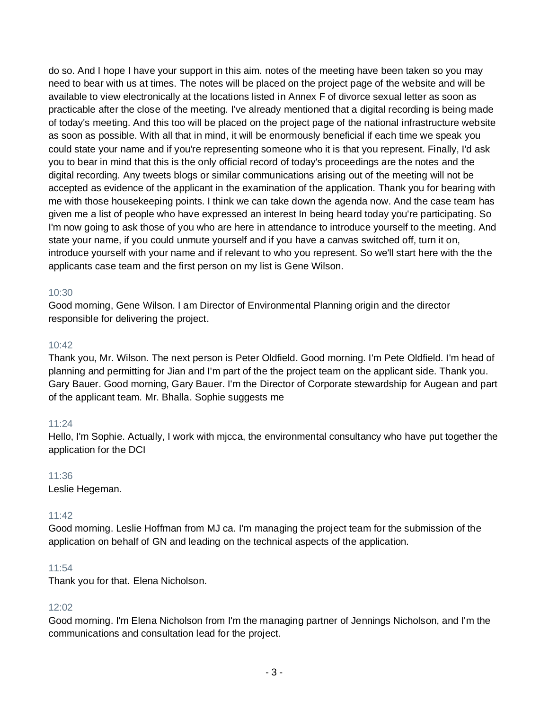do so. And I hope I have your support in this aim. notes of the meeting have been taken so you may need to bear with us at times. The notes will be placed on the project page of the website and will be available to view electronically at the locations listed in Annex F of divorce sexual letter as soon as practicable after the close of the meeting. I've already mentioned that a digital recording is being made of today's meeting. And this too will be placed on the project page of the national infrastructure website as soon as possible. With all that in mind, it will be enormously beneficial if each time we speak you could state your name and if you're representing someone who it is that you represent. Finally, I'd ask you to bear in mind that this is the only official record of today's proceedings are the notes and the digital recording. Any tweets blogs or similar communications arising out of the meeting will not be accepted as evidence of the applicant in the examination of the application. Thank you for bearing with me with those housekeeping points. I think we can take down the agenda now. And the case team has given me a list of people who have expressed an interest In being heard today you're participating. So I'm now going to ask those of you who are here in attendance to introduce yourself to the meeting. And state your name, if you could unmute yourself and if you have a canvas switched off, turn it on, introduce yourself with your name and if relevant to who you represent. So we'll start here with the the applicants case team and the first person on my list is Gene Wilson.

### 10:30

Good morning, Gene Wilson. I am Director of Environmental Planning origin and the director responsible for delivering the project.

## 10:42

Thank you, Mr. Wilson. The next person is Peter Oldfield. Good morning. I'm Pete Oldfield. I'm head of planning and permitting for Jian and I'm part of the the project team on the applicant side. Thank you. Gary Bauer. Good morning, Gary Bauer. I'm the Director of Corporate stewardship for Augean and part of the applicant team. Mr. Bhalla. Sophie suggests me

# 11:24

Hello, I'm Sophie. Actually, I work with mjcca, the environmental consultancy who have put together the application for the DCI

### 11:36

Leslie Hegeman.

### 11:42

Good morning. Leslie Hoffman from MJ ca. I'm managing the project team for the submission of the application on behalf of GN and leading on the technical aspects of the application.

### 11:54

Thank you for that. Elena Nicholson.

### 12:02

Good morning. I'm Elena Nicholson from I'm the managing partner of Jennings Nicholson, and I'm the communications and consultation lead for the project.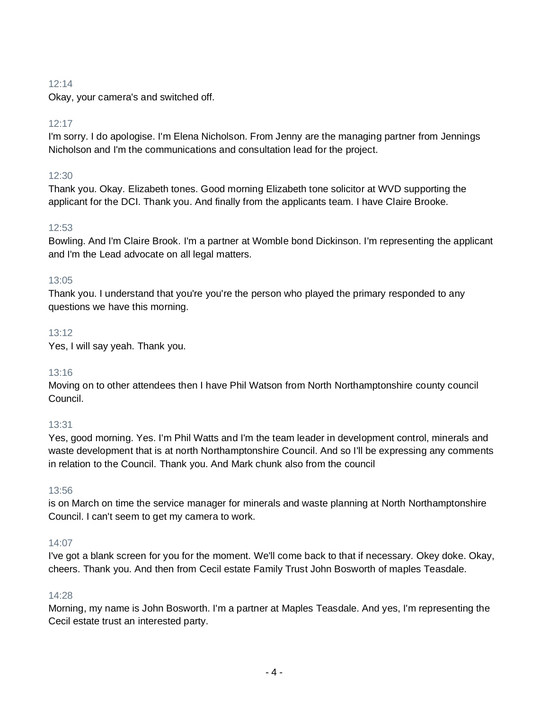# $12.14$

Okay, your camera's and switched off.

# 12:17

I'm sorry. I do apologise. I'm Elena Nicholson. From Jenny are the managing partner from Jennings Nicholson and I'm the communications and consultation lead for the project.

## 12:30

Thank you. Okay. Elizabeth tones. Good morning Elizabeth tone solicitor at WVD supporting the applicant for the DCI. Thank you. And finally from the applicants team. I have Claire Brooke.

### 12:53

Bowling. And I'm Claire Brook. I'm a partner at Womble bond Dickinson. I'm representing the applicant and I'm the Lead advocate on all legal matters.

### 13:05

Thank you. I understand that you're you're the person who played the primary responded to any questions we have this morning.

## 13:12

Yes, I will say yeah. Thank you.

### 13:16

Moving on to other attendees then I have Phil Watson from North Northamptonshire county council Council.

### 13:31

Yes, good morning. Yes. I'm Phil Watts and I'm the team leader in development control, minerals and waste development that is at north Northamptonshire Council. And so I'll be expressing any comments in relation to the Council. Thank you. And Mark chunk also from the council

### 13:56

is on March on time the service manager for minerals and waste planning at North Northamptonshire Council. I can't seem to get my camera to work.

### 14:07

I've got a blank screen for you for the moment. We'll come back to that if necessary. Okey doke. Okay, cheers. Thank you. And then from Cecil estate Family Trust John Bosworth of maples Teasdale.

### 14:28

Morning, my name is John Bosworth. I'm a partner at Maples Teasdale. And yes, I'm representing the Cecil estate trust an interested party.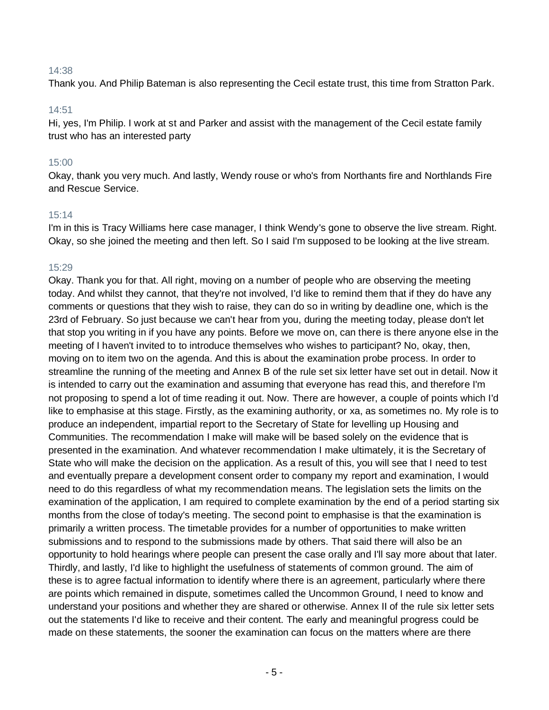### 14:38

Thank you. And Philip Bateman is also representing the Cecil estate trust, this time from Stratton Park.

#### 14:51

Hi, yes, I'm Philip. I work at st and Parker and assist with the management of the Cecil estate family trust who has an interested party

### 15:00

Okay, thank you very much. And lastly, Wendy rouse or who's from Northants fire and Northlands Fire and Rescue Service.

#### 15:14

I'm in this is Tracy Williams here case manager, I think Wendy's gone to observe the live stream. Right. Okay, so she joined the meeting and then left. So I said I'm supposed to be looking at the live stream.

#### 15:29

Okay. Thank you for that. All right, moving on a number of people who are observing the meeting today. And whilst they cannot, that they're not involved, I'd like to remind them that if they do have any comments or questions that they wish to raise, they can do so in writing by deadline one, which is the 23rd of February. So just because we can't hear from you, during the meeting today, please don't let that stop you writing in if you have any points. Before we move on, can there is there anyone else in the meeting of I haven't invited to to introduce themselves who wishes to participant? No, okay, then, moving on to item two on the agenda. And this is about the examination probe process. In order to streamline the running of the meeting and Annex B of the rule set six letter have set out in detail. Now it is intended to carry out the examination and assuming that everyone has read this, and therefore I'm not proposing to spend a lot of time reading it out. Now. There are however, a couple of points which I'd like to emphasise at this stage. Firstly, as the examining authority, or xa, as sometimes no. My role is to produce an independent, impartial report to the Secretary of State for levelling up Housing and Communities. The recommendation I make will make will be based solely on the evidence that is presented in the examination. And whatever recommendation I make ultimately, it is the Secretary of State who will make the decision on the application. As a result of this, you will see that I need to test and eventually prepare a development consent order to company my report and examination, I would need to do this regardless of what my recommendation means. The legislation sets the limits on the examination of the application, I am required to complete examination by the end of a period starting six months from the close of today's meeting. The second point to emphasise is that the examination is primarily a written process. The timetable provides for a number of opportunities to make written submissions and to respond to the submissions made by others. That said there will also be an opportunity to hold hearings where people can present the case orally and I'll say more about that later. Thirdly, and lastly, I'd like to highlight the usefulness of statements of common ground. The aim of these is to agree factual information to identify where there is an agreement, particularly where there are points which remained in dispute, sometimes called the Uncommon Ground, I need to know and understand your positions and whether they are shared or otherwise. Annex II of the rule six letter sets out the statements I'd like to receive and their content. The early and meaningful progress could be made on these statements, the sooner the examination can focus on the matters where are there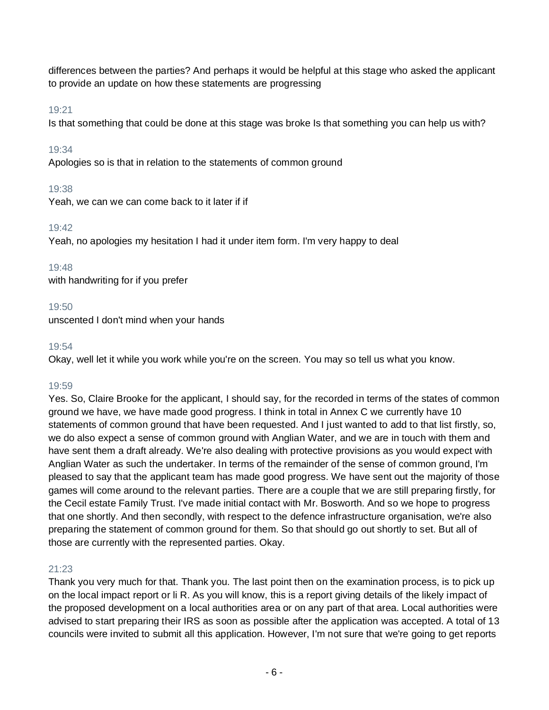differences between the parties? And perhaps it would be helpful at this stage who asked the applicant to provide an update on how these statements are progressing

# 19:21

Is that something that could be done at this stage was broke Is that something you can help us with?

# 19:34

Apologies so is that in relation to the statements of common ground

# 19:38

Yeah, we can we can come back to it later if if

# 19:42

Yeah, no apologies my hesitation I had it under item form. I'm very happy to deal

# 19:48

with handwriting for if you prefer

# 19:50

unscented I don't mind when your hands

# 19:54

Okay, well let it while you work while you're on the screen. You may so tell us what you know.

# 19:59

Yes. So, Claire Brooke for the applicant, I should say, for the recorded in terms of the states of common ground we have, we have made good progress. I think in total in Annex C we currently have 10 statements of common ground that have been requested. And I just wanted to add to that list firstly, so, we do also expect a sense of common ground with Anglian Water, and we are in touch with them and have sent them a draft already. We're also dealing with protective provisions as you would expect with Anglian Water as such the undertaker. In terms of the remainder of the sense of common ground, I'm pleased to say that the applicant team has made good progress. We have sent out the majority of those games will come around to the relevant parties. There are a couple that we are still preparing firstly, for the Cecil estate Family Trust. I've made initial contact with Mr. Bosworth. And so we hope to progress that one shortly. And then secondly, with respect to the defence infrastructure organisation, we're also preparing the statement of common ground for them. So that should go out shortly to set. But all of those are currently with the represented parties. Okay.

# 21:23

Thank you very much for that. Thank you. The last point then on the examination process, is to pick up on the local impact report or li R. As you will know, this is a report giving details of the likely impact of the proposed development on a local authorities area or on any part of that area. Local authorities were advised to start preparing their IRS as soon as possible after the application was accepted. A total of 13 councils were invited to submit all this application. However, I'm not sure that we're going to get reports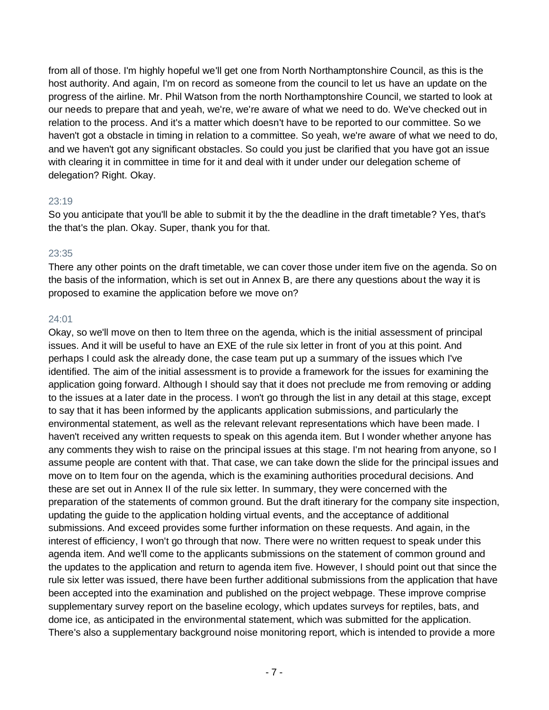from all of those. I'm highly hopeful we'll get one from North Northamptonshire Council, as this is the host authority. And again, I'm on record as someone from the council to let us have an update on the progress of the airline. Mr. Phil Watson from the north Northamptonshire Council, we started to look at our needs to prepare that and yeah, we're, we're aware of what we need to do. We've checked out in relation to the process. And it's a matter which doesn't have to be reported to our committee. So we haven't got a obstacle in timing in relation to a committee. So yeah, we're aware of what we need to do, and we haven't got any significant obstacles. So could you just be clarified that you have got an issue with clearing it in committee in time for it and deal with it under under our delegation scheme of delegation? Right. Okay.

### 23:19

So you anticipate that you'll be able to submit it by the the deadline in the draft timetable? Yes, that's the that's the plan. Okay. Super, thank you for that.

#### 23:35

There any other points on the draft timetable, we can cover those under item five on the agenda. So on the basis of the information, which is set out in Annex B, are there any questions about the way it is proposed to examine the application before we move on?

### 24:01

Okay, so we'll move on then to Item three on the agenda, which is the initial assessment of principal issues. And it will be useful to have an EXE of the rule six letter in front of you at this point. And perhaps I could ask the already done, the case team put up a summary of the issues which I've identified. The aim of the initial assessment is to provide a framework for the issues for examining the application going forward. Although I should say that it does not preclude me from removing or adding to the issues at a later date in the process. I won't go through the list in any detail at this stage, except to say that it has been informed by the applicants application submissions, and particularly the environmental statement, as well as the relevant relevant representations which have been made. I haven't received any written requests to speak on this agenda item. But I wonder whether anyone has any comments they wish to raise on the principal issues at this stage. I'm not hearing from anyone, so I assume people are content with that. That case, we can take down the slide for the principal issues and move on to Item four on the agenda, which is the examining authorities procedural decisions. And these are set out in Annex II of the rule six letter. In summary, they were concerned with the preparation of the statements of common ground. But the draft itinerary for the company site inspection, updating the guide to the application holding virtual events, and the acceptance of additional submissions. And exceed provides some further information on these requests. And again, in the interest of efficiency, I won't go through that now. There were no written request to speak under this agenda item. And we'll come to the applicants submissions on the statement of common ground and the updates to the application and return to agenda item five. However, I should point out that since the rule six letter was issued, there have been further additional submissions from the application that have been accepted into the examination and published on the project webpage. These improve comprise supplementary survey report on the baseline ecology, which updates surveys for reptiles, bats, and dome ice, as anticipated in the environmental statement, which was submitted for the application. There's also a supplementary background noise monitoring report, which is intended to provide a more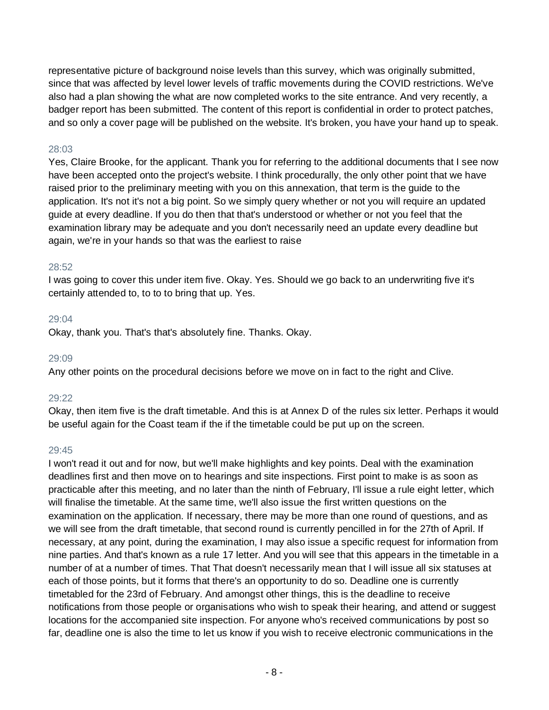representative picture of background noise levels than this survey, which was originally submitted, since that was affected by level lower levels of traffic movements during the COVID restrictions. We've also had a plan showing the what are now completed works to the site entrance. And very recently, a badger report has been submitted. The content of this report is confidential in order to protect patches, and so only a cover page will be published on the website. It's broken, you have your hand up to speak.

#### 28:03

Yes, Claire Brooke, for the applicant. Thank you for referring to the additional documents that I see now have been accepted onto the project's website. I think procedurally, the only other point that we have raised prior to the preliminary meeting with you on this annexation, that term is the guide to the application. It's not it's not a big point. So we simply query whether or not you will require an updated guide at every deadline. If you do then that that's understood or whether or not you feel that the examination library may be adequate and you don't necessarily need an update every deadline but again, we're in your hands so that was the earliest to raise

#### 28:52

I was going to cover this under item five. Okay. Yes. Should we go back to an underwriting five it's certainly attended to, to to to bring that up. Yes.

#### 29:04

Okay, thank you. That's that's absolutely fine. Thanks. Okay.

#### 29:09

Any other points on the procedural decisions before we move on in fact to the right and Clive.

#### 29:22

Okay, then item five is the draft timetable. And this is at Annex D of the rules six letter. Perhaps it would be useful again for the Coast team if the if the timetable could be put up on the screen.

#### 29:45

I won't read it out and for now, but we'll make highlights and key points. Deal with the examination deadlines first and then move on to hearings and site inspections. First point to make is as soon as practicable after this meeting, and no later than the ninth of February, I'll issue a rule eight letter, which will finalise the timetable. At the same time, we'll also issue the first written questions on the examination on the application. If necessary, there may be more than one round of questions, and as we will see from the draft timetable, that second round is currently pencilled in for the 27th of April. If necessary, at any point, during the examination, I may also issue a specific request for information from nine parties. And that's known as a rule 17 letter. And you will see that this appears in the timetable in a number of at a number of times. That That doesn't necessarily mean that I will issue all six statuses at each of those points, but it forms that there's an opportunity to do so. Deadline one is currently timetabled for the 23rd of February. And amongst other things, this is the deadline to receive notifications from those people or organisations who wish to speak their hearing, and attend or suggest locations for the accompanied site inspection. For anyone who's received communications by post so far, deadline one is also the time to let us know if you wish to receive electronic communications in the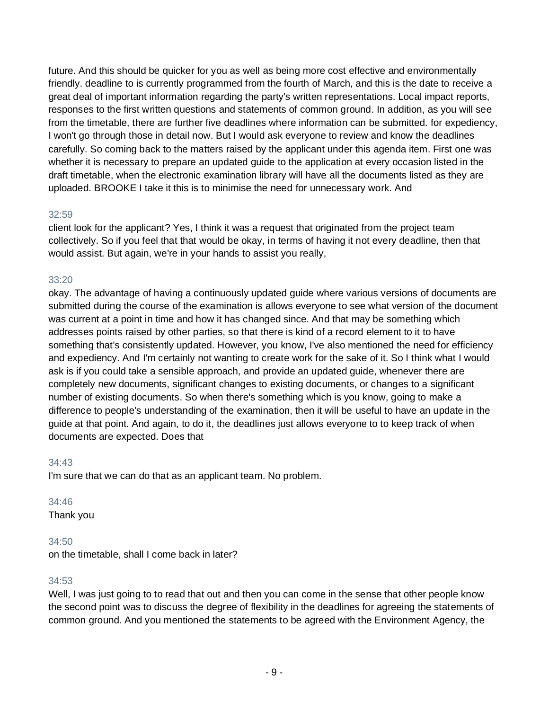future. And this should be quicker for you as well as being more cost effective and environmentally friendly. deadline to is currently programmed from the fourth of March, and this is the date to receive a great deal of important information regarding the party's written representations. Local impact reports, responses to the first written questions and statements of common ground. In addition, as you will see from the timetable, there are further five deadlines where information can be submitted. for expediency, I won't go through those in detail now. But I would ask everyone to review and know the deadlines carefully. So coming back to the matters raised by the applicant under this agenda item. First one was whether it is necessary to prepare an updated guide to the application at every occasion listed in the draft timetable, when the electronic examination library will have all the documents listed as they are uploaded. BROOKE I take it this is to minimise the need for unnecessary work. And

## 32:59

client look for the applicant? Yes, I think it was a request that originated from the project team collectively. So if you feel that that would be okay, in terms of having it not every deadline, then that would assist. But again, we're in your hands to assist you really,

# 33:20

okay. The advantage of having a continuously updated guide where various versions of documents are submitted during the course of the examination is allows everyone to see what version of the document was current at a point in time and how it has changed since. And that may be something which addresses points raised by other parties, so that there is kind of a record element to it to have something that's consistently updated. However, you know, I've also mentioned the need for efficiency and expediency. And I'm certainly not wanting to create work for the sake of it. So I think what I would ask is if you could take a sensible approach, and provide an updated guide, whenever there are completely new documents, significant changes to existing documents, or changes to a significant number of existing documents. So when there's something which is you know, going to make a difference to people's understanding of the examination, then it will be useful to have an update in the guide at that point. And again, to do it, the deadlines just allows everyone to to keep track of when documents are expected. Does that

# 34:43

I'm sure that we can do that as an applicant team. No problem.

### 34:46

Thank you

# 34:50

on the timetable, shall I come back in later?

# 34:53

Well, I was just going to to read that out and then you can come in the sense that other people know the second point was to discuss the degree of flexibility in the deadlines for agreeing the statements of common ground. And you mentioned the statements to be agreed with the Environment Agency, the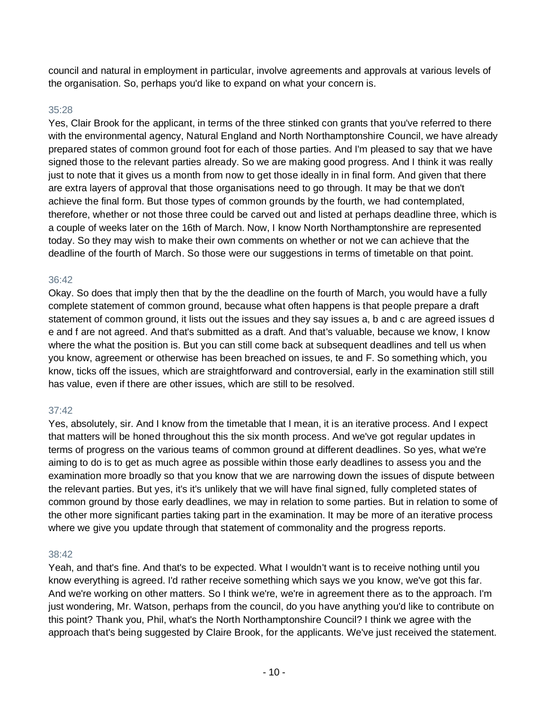council and natural in employment in particular, involve agreements and approvals at various levels of the organisation. So, perhaps you'd like to expand on what your concern is.

## 35:28

Yes, Clair Brook for the applicant, in terms of the three stinked con grants that you've referred to there with the environmental agency, Natural England and North Northamptonshire Council, we have already prepared states of common ground foot for each of those parties. And I'm pleased to say that we have signed those to the relevant parties already. So we are making good progress. And I think it was really just to note that it gives us a month from now to get those ideally in in final form. And given that there are extra layers of approval that those organisations need to go through. It may be that we don't achieve the final form. But those types of common grounds by the fourth, we had contemplated, therefore, whether or not those three could be carved out and listed at perhaps deadline three, which is a couple of weeks later on the 16th of March. Now, I know North Northamptonshire are represented today. So they may wish to make their own comments on whether or not we can achieve that the deadline of the fourth of March. So those were our suggestions in terms of timetable on that point.

## 36:42

Okay. So does that imply then that by the the deadline on the fourth of March, you would have a fully complete statement of common ground, because what often happens is that people prepare a draft statement of common ground, it lists out the issues and they say issues a, b and c are agreed issues d e and f are not agreed. And that's submitted as a draft. And that's valuable, because we know, I know where the what the position is. But you can still come back at subsequent deadlines and tell us when you know, agreement or otherwise has been breached on issues, te and F. So something which, you know, ticks off the issues, which are straightforward and controversial, early in the examination still still has value, even if there are other issues, which are still to be resolved.

# 37:42

Yes, absolutely, sir. And I know from the timetable that I mean, it is an iterative process. And I expect that matters will be honed throughout this the six month process. And we've got regular updates in terms of progress on the various teams of common ground at different deadlines. So yes, what we're aiming to do is to get as much agree as possible within those early deadlines to assess you and the examination more broadly so that you know that we are narrowing down the issues of dispute between the relevant parties. But yes, it's it's unlikely that we will have final signed, fully completed states of common ground by those early deadlines, we may in relation to some parties. But in relation to some of the other more significant parties taking part in the examination. It may be more of an iterative process where we give you update through that statement of commonality and the progress reports.

### 38:42

Yeah, and that's fine. And that's to be expected. What I wouldn't want is to receive nothing until you know everything is agreed. I'd rather receive something which says we you know, we've got this far. And we're working on other matters. So I think we're, we're in agreement there as to the approach. I'm just wondering, Mr. Watson, perhaps from the council, do you have anything you'd like to contribute on this point? Thank you, Phil, what's the North Northamptonshire Council? I think we agree with the approach that's being suggested by Claire Brook, for the applicants. We've just received the statement.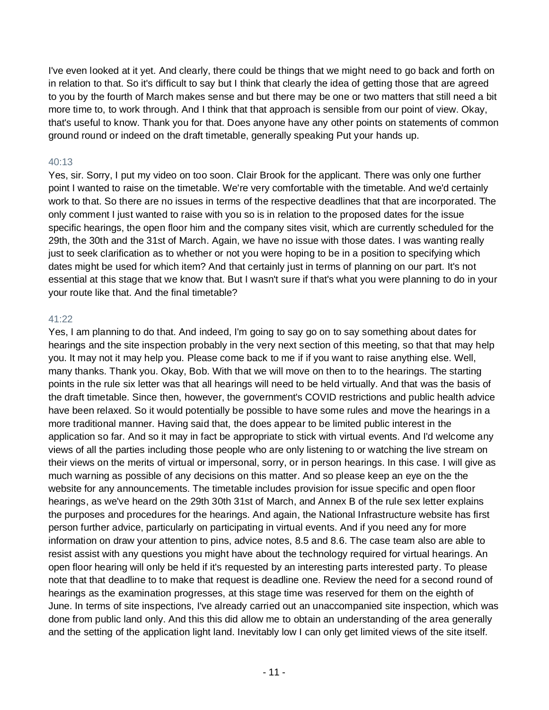I've even looked at it yet. And clearly, there could be things that we might need to go back and forth on in relation to that. So it's difficult to say but I think that clearly the idea of getting those that are agreed to you by the fourth of March makes sense and but there may be one or two matters that still need a bit more time to, to work through. And I think that that approach is sensible from our point of view. Okay, that's useful to know. Thank you for that. Does anyone have any other points on statements of common ground round or indeed on the draft timetable, generally speaking Put your hands up.

## 40:13

Yes, sir. Sorry, I put my video on too soon. Clair Brook for the applicant. There was only one further point I wanted to raise on the timetable. We're very comfortable with the timetable. And we'd certainly work to that. So there are no issues in terms of the respective deadlines that that are incorporated. The only comment I just wanted to raise with you so is in relation to the proposed dates for the issue specific hearings, the open floor him and the company sites visit, which are currently scheduled for the 29th, the 30th and the 31st of March. Again, we have no issue with those dates. I was wanting really just to seek clarification as to whether or not you were hoping to be in a position to specifying which dates might be used for which item? And that certainly just in terms of planning on our part. It's not essential at this stage that we know that. But I wasn't sure if that's what you were planning to do in your your route like that. And the final timetable?

### 41:22

Yes, I am planning to do that. And indeed, I'm going to say go on to say something about dates for hearings and the site inspection probably in the very next section of this meeting, so that that may help you. It may not it may help you. Please come back to me if if you want to raise anything else. Well, many thanks. Thank you. Okay, Bob. With that we will move on then to to the hearings. The starting points in the rule six letter was that all hearings will need to be held virtually. And that was the basis of the draft timetable. Since then, however, the government's COVID restrictions and public health advice have been relaxed. So it would potentially be possible to have some rules and move the hearings in a more traditional manner. Having said that, the does appear to be limited public interest in the application so far. And so it may in fact be appropriate to stick with virtual events. And I'd welcome any views of all the parties including those people who are only listening to or watching the live stream on their views on the merits of virtual or impersonal, sorry, or in person hearings. In this case. I will give as much warning as possible of any decisions on this matter. And so please keep an eye on the the website for any announcements. The timetable includes provision for issue specific and open floor hearings, as we've heard on the 29th 30th 31st of March, and Annex B of the rule sex letter explains the purposes and procedures for the hearings. And again, the National Infrastructure website has first person further advice, particularly on participating in virtual events. And if you need any for more information on draw your attention to pins, advice notes, 8.5 and 8.6. The case team also are able to resist assist with any questions you might have about the technology required for virtual hearings. An open floor hearing will only be held if it's requested by an interesting parts interested party. To please note that that deadline to to make that request is deadline one. Review the need for a second round of hearings as the examination progresses, at this stage time was reserved for them on the eighth of June. In terms of site inspections, I've already carried out an unaccompanied site inspection, which was done from public land only. And this this did allow me to obtain an understanding of the area generally and the setting of the application light land. Inevitably low I can only get limited views of the site itself.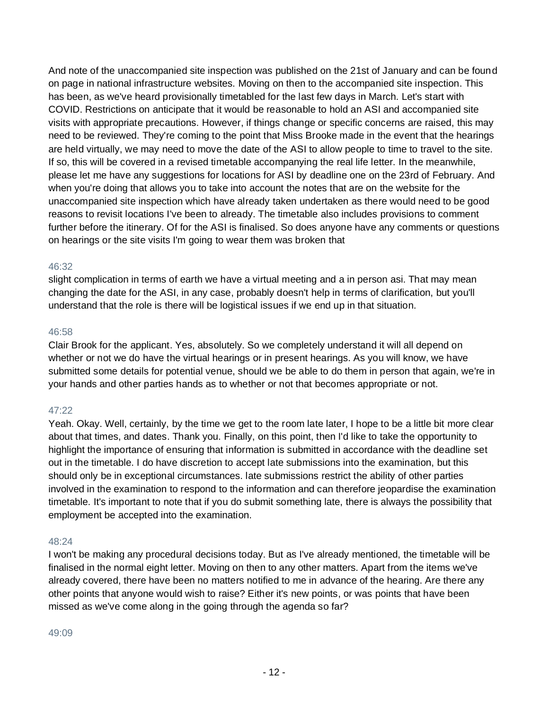And note of the unaccompanied site inspection was published on the 21st of January and can be found on page in national infrastructure websites. Moving on then to the accompanied site inspection. This has been, as we've heard provisionally timetabled for the last few days in March. Let's start with COVID. Restrictions on anticipate that it would be reasonable to hold an ASI and accompanied site visits with appropriate precautions. However, if things change or specific concerns are raised, this may need to be reviewed. They're coming to the point that Miss Brooke made in the event that the hearings are held virtually, we may need to move the date of the ASI to allow people to time to travel to the site. If so, this will be covered in a revised timetable accompanying the real life letter. In the meanwhile, please let me have any suggestions for locations for ASI by deadline one on the 23rd of February. And when you're doing that allows you to take into account the notes that are on the website for the unaccompanied site inspection which have already taken undertaken as there would need to be good reasons to revisit locations I've been to already. The timetable also includes provisions to comment further before the itinerary. Of for the ASI is finalised. So does anyone have any comments or questions on hearings or the site visits I'm going to wear them was broken that

## 46:32

slight complication in terms of earth we have a virtual meeting and a in person asi. That may mean changing the date for the ASI, in any case, probably doesn't help in terms of clarification, but you'll understand that the role is there will be logistical issues if we end up in that situation.

### 46:58

Clair Brook for the applicant. Yes, absolutely. So we completely understand it will all depend on whether or not we do have the virtual hearings or in present hearings. As you will know, we have submitted some details for potential venue, should we be able to do them in person that again, we're in your hands and other parties hands as to whether or not that becomes appropriate or not.

# 47:22

Yeah. Okay. Well, certainly, by the time we get to the room late later, I hope to be a little bit more clear about that times, and dates. Thank you. Finally, on this point, then I'd like to take the opportunity to highlight the importance of ensuring that information is submitted in accordance with the deadline set out in the timetable. I do have discretion to accept late submissions into the examination, but this should only be in exceptional circumstances. late submissions restrict the ability of other parties involved in the examination to respond to the information and can therefore jeopardise the examination timetable. It's important to note that if you do submit something late, there is always the possibility that employment be accepted into the examination.

# 48:24

I won't be making any procedural decisions today. But as I've already mentioned, the timetable will be finalised in the normal eight letter. Moving on then to any other matters. Apart from the items we've already covered, there have been no matters notified to me in advance of the hearing. Are there any other points that anyone would wish to raise? Either it's new points, or was points that have been missed as we've come along in the going through the agenda so far?

### 49:09